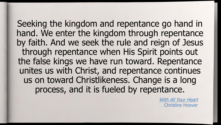Seeking the kingdom and repentance go hand in hand. We enter the kingdom through repentance by faith. And we seek the rule and reign of Jesus through repentance when His Spirit points out the false kings we have run toward. Repentance unites us with Christ, and repentance continues us on toward Christlikeness. Change is a long process, and it is fueled by repentance.

> With All Your Heart Christine Hoover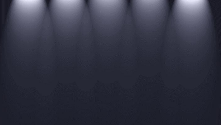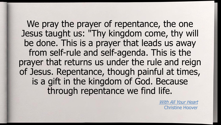We pray the prayer of repentance, the one Jesus taught us: "Thy kingdom come, thy will be done. This is a prayer that leads us away from self-rule and self-agenda. This is the prayer that returns us under the rule and reign of Jesus. Repentance, though painful at times, is a gift in the kingdom of God. Because through repentance we find life.

> With All Your Heart Christine Hoover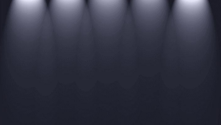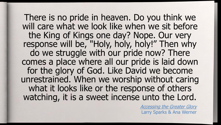**Accessing the Greater Glory** Larry Sparks & Ana Werner

There is no pride in heaven. Do you think we will care what we look like when we sit before the King of Kings one day? Nope. Our very response will be, "Holy, holy, holy!" Then why do we struggle with our pride now? There comes a place where all our pride is laid down for the glory of God. Like David we become unrestrained. When we worship without caring what it looks like or the response of others watching, it is a sweet incense unto the Lord.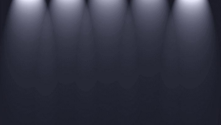